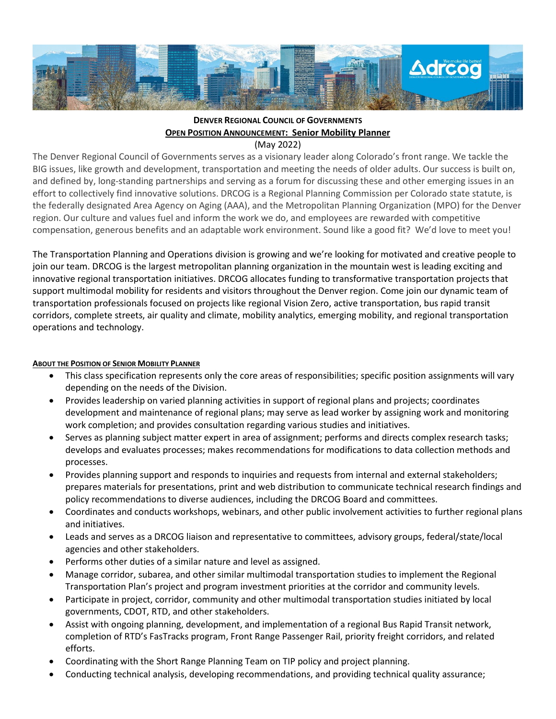

# **DENVER REGIONAL COUNCIL OF GOVERNMENTS OPEN POSITION ANNOUNCEMENT: Senior Mobility Planner**

(May 2022)

The Denver Regional Council of Governments serves as a visionary leader along Colorado's front range. We tackle the BIG issues, like growth and development, transportation and meeting the needs of older adults. Our success is built on, and defined by, long-standing partnerships and serving as a forum for discussing these and other emerging issues in an effort to collectively find innovative solutions. DRCOG is a Regional Planning Commission per Colorado state statute, is the federally designated Area Agency on Aging (AAA), and the Metropolitan Planning Organization (MPO) for the Denver region. Our culture and values fuel and inform the work we do, and employees are rewarded with competitive compensation, generous benefits and an adaptable work environment. Sound like a good fit? We'd love to meet you!

The Transportation Planning and Operations division is growing and we're looking for motivated and creative people to join our team. DRCOG is the largest metropolitan planning organization in the mountain west is leading exciting and innovative regional transportation initiatives. DRCOG allocates funding to transformative transportation projects that support multimodal mobility for residents and visitors throughout the Denver region. Come join our dynamic team of transportation professionals focused on projects like regional Vision Zero, active transportation, bus rapid transit corridors, complete streets, air quality and climate, mobility analytics, emerging mobility, and regional transportation operations and technology.

## **ABOUT THE POSITION OF SENIOR MOBILITY PLANNER**

- This class specification represents only the core areas of responsibilities; specific position assignments will vary depending on the needs of the Division.
- Provides leadership on varied planning activities in support of regional plans and projects; coordinates development and maintenance of regional plans; may serve as lead worker by assigning work and monitoring work completion; and provides consultation regarding various studies and initiatives.
- Serves as planning subject matter expert in area of assignment; performs and directs complex research tasks; develops and evaluates processes; makes recommendations for modifications to data collection methods and processes.
- Provides planning support and responds to inquiries and requests from internal and external stakeholders; prepares materials for presentations, print and web distribution to communicate technical research findings and policy recommendations to diverse audiences, including the DRCOG Board and committees.
- Coordinates and conducts workshops, webinars, and other public involvement activities to further regional plans and initiatives.
- Leads and serves as a DRCOG liaison and representative to committees, advisory groups, federal/state/local agencies and other stakeholders.
- Performs other duties of a similar nature and level as assigned.
- Manage corridor, subarea, and other similar multimodal transportation studies to implement the Regional Transportation Plan's project and program investment priorities at the corridor and community levels.
- Participate in project, corridor, community and other multimodal transportation studies initiated by local governments, CDOT, RTD, and other stakeholders.
- Assist with ongoing planning, development, and implementation of a regional Bus Rapid Transit network, completion of RTD's FasTracks program, Front Range Passenger Rail, priority freight corridors, and related efforts.
- Coordinating with the Short Range Planning Team on TIP policy and project planning.
- Conducting technical analysis, developing recommendations, and providing technical quality assurance;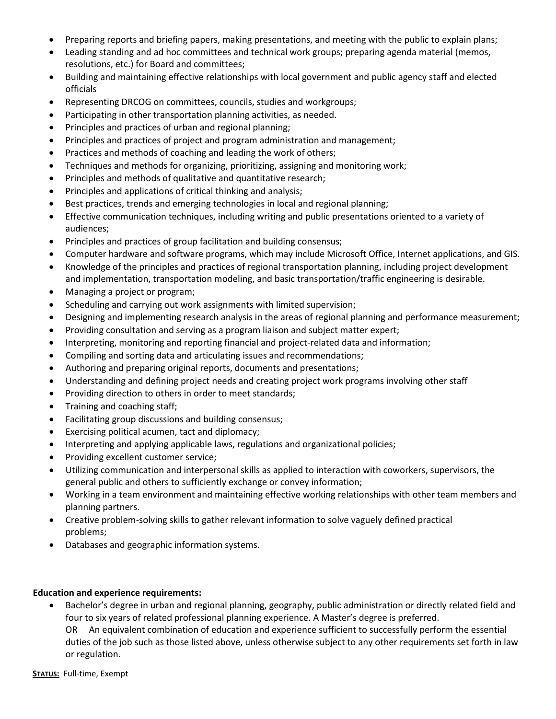- Preparing reports and briefing papers, making presentations, and meeting with the public to explain plans;
- Leading standing and ad hoc committees and technical work groups; preparing agenda material (memos, resolutions, etc.) for Board and committees;
- Building and maintaining effective relationships with local government and public agency staff and elected officials
- Representing DRCOG on committees, councils, studies and workgroups;
- Participating in other transportation planning activities, as needed.
- Principles and practices of urban and regional planning;
- Principles and practices of project and program administration and management;
- Practices and methods of coaching and leading the work of others;
- Techniques and methods for organizing, prioritizing, assigning and monitoring work;
- Principles and methods of qualitative and quantitative research;
- Principles and applications of critical thinking and analysis;
- Best practices, trends and emerging technologies in local and regional planning;
- Effective communication techniques, including writing and public presentations oriented to a variety of audiences;
- Principles and practices of group facilitation and building consensus;
- Computer hardware and software programs, which may include Microsoft Office, Internet applications, and GIS.
- Knowledge of the principles and practices of regional transportation planning, including project development and implementation, transportation modeling, and basic transportation/traffic engineering is desirable.
- Managing a project or program;
- Scheduling and carrying out work assignments with limited supervision;
- Designing and implementing research analysis in the areas of regional planning and performance measurement;
- Providing consultation and serving as a program liaison and subject matter expert;
- Interpreting, monitoring and reporting financial and project-related data and information;
- Compiling and sorting data and articulating issues and recommendations;
- Authoring and preparing original reports, documents and presentations;
- Understanding and defining project needs and creating project work programs involving other staff
- Providing direction to others in order to meet standards;
- Training and coaching staff;
- Facilitating group discussions and building consensus;
- Exercising political acumen, tact and diplomacy;
- Interpreting and applying applicable laws, regulations and organizational policies;
- Providing excellent customer service;
- Utilizing communication and interpersonal skills as applied to interaction with coworkers, supervisors, the general public and others to sufficiently exchange or convey information;
- Working in a team environment and maintaining effective working relationships with other team members and planning partners.
- Creative problem-solving skills to gather relevant information to solve vaguely defined practical problems;
- Databases and geographic information systems.

## **Education and experience requirements:**

• Bachelor's degree in urban and regional planning, geography, public administration or directly related field and four to six years of related professional planning experience. A Master's degree is preferred. OR An equivalent combination of education and experience sufficient to successfully perform the essential duties of the job such as those listed above, unless otherwise subject to any other requirements set forth in law or regulation.